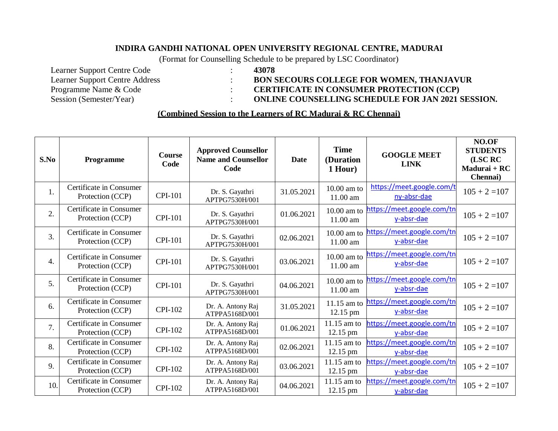## **INDIRA GANDHI NATIONAL OPEN UNIVERSITY REGIONAL CENTRE, MADURAI**

(Format for Counselling Schedule to be prepared by LSC Coordinator)

Learner Support Centre Code : **43078** Programme Name & Code : <br>
Session (Semester/Year) : **CERTIFICATE IN CONSUMER PROTECTION** (CCP)<br> **CERTIFICATE IN CONSUMER PROTECTION** (CCP)

## Learner Support Centre Address : **BON SECOURS COLLEGE FOR WOMEN, THANJAVUR**

 $\sim$  **ONLINE COUNSELLING SCHEDULE FOR JAN 2021 SESSION.** 

## **(Combined Session to the Learners of RC Madurai & RC Chennai)**

| S.No             | Programme                                   | <b>Course</b><br>Code | <b>Approved Counsellor</b><br><b>Name and Counsellor</b><br>Code | Date       | <b>Time</b><br>(Duration<br>1 Hour) | <b>GOOGLE MEET</b><br><b>LINK</b>        | NO.OF<br><b>STUDENTS</b><br>(LSC RC<br>Madurai + RC<br>Chennai) |
|------------------|---------------------------------------------|-----------------------|------------------------------------------------------------------|------------|-------------------------------------|------------------------------------------|-----------------------------------------------------------------|
| 1.               | Certificate in Consumer<br>Protection (CCP) | <b>CPI-101</b>        | Dr. S. Gayathri<br>APTPG7530H/001                                | 31.05.2021 | $10.00$ am to<br>11.00 am           | https://meet.google.com/t<br>ny-absr-dae | $105 + 2 = 107$                                                 |
| 2.               | Certificate in Consumer<br>Protection (CCP) | <b>CPI-101</b>        | Dr. S. Gayathri<br>APTPG7530H/001                                | 01.06.2021 | 10.00 am to<br>11.00 am             | https://meet.google.com/tn<br>y-absr-dae | $105 + 2 = 107$                                                 |
| $\overline{3}$ . | Certificate in Consumer<br>Protection (CCP) | <b>CPI-101</b>        | Dr. S. Gayathri<br>APTPG7530H/001                                | 02.06.2021 | $10.00$ am to<br>11.00 am           | https://meet.google.com/tn<br>y-absr-dae | $105 + 2 = 107$                                                 |
| $\overline{4}$ . | Certificate in Consumer<br>Protection (CCP) | <b>CPI-101</b>        | Dr. S. Gayathri<br>APTPG7530H/001                                | 03.06.2021 | $10.00$ am to<br>$11.00 \text{ am}$ | https://meet.google.com/tn<br>y-absr-dae | $105 + 2 = 107$                                                 |
| 5.               | Certificate in Consumer<br>Protection (CCP) | <b>CPI-101</b>        | Dr. S. Gayathri<br>APTPG7530H/001                                | 04.06.2021 | $10.00$ am to<br>$11.00 \text{ am}$ | https://meet.google.com/tn<br>y-absr-dae | $105 + 2 = 107$                                                 |
| 6.               | Certificate in Consumer<br>Protection (CCP) | <b>CPI-102</b>        | Dr. A. Antony Raj<br>ATPPA5168D/001                              | 31.05.2021 | $11.15$ am to<br>12.15 pm           | https://meet.google.com/tn<br>y-absr-dae | $105 + 2 = 107$                                                 |
| 7.               | Certificate in Consumer<br>Protection (CCP) | <b>CPI-102</b>        | Dr. A. Antony Raj<br>ATPPA5168D/001                              | 01.06.2021 | $11.15$ am to<br>12.15 pm           | https://meet.google.com/tn<br>y-absr-dae | $105 + 2 = 107$                                                 |
| 8.               | Certificate in Consumer<br>Protection (CCP) | <b>CPI-102</b>        | Dr. A. Antony Raj<br>ATPPA5168D/001                              | 02.06.2021 | $11.15$ am to<br>$12.15 \text{ pm}$ | https://meet.google.com/tn<br>y-absr-dae | $105 + 2 = 107$                                                 |
| 9.               | Certificate in Consumer<br>Protection (CCP) | <b>CPI-102</b>        | Dr. A. Antony Raj<br>ATPPA5168D/001                              | 03.06.2021 | 11.15 am to<br>12.15 pm             | https://meet.google.com/tn<br>y-absr-dae | $105 + 2 = 107$                                                 |
| 10.              | Certificate in Consumer<br>Protection (CCP) | <b>CPI-102</b>        | Dr. A. Antony Raj<br>ATPPA5168D/001                              | 04.06.2021 | 11.15 am to<br>$12.15$ pm           | https://meet.google.com/tn<br>y-absr-dae | $105 + 2 = 107$                                                 |